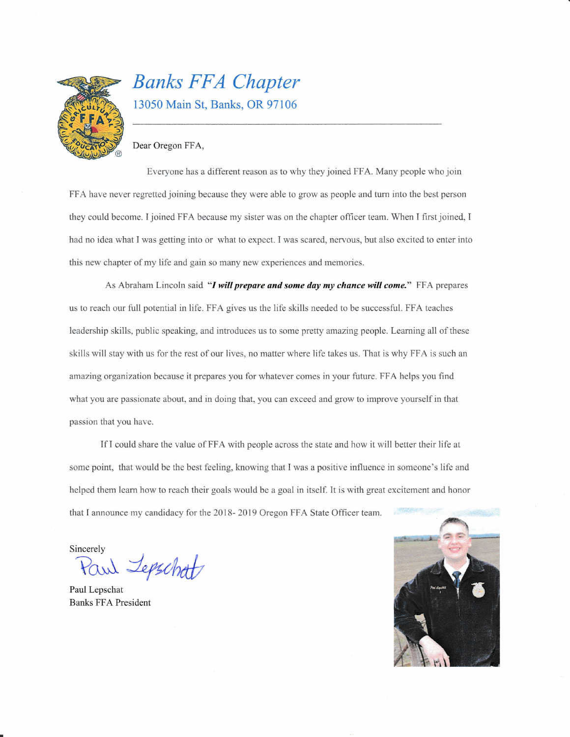

## Banks FFA Chapter 13050 Main St, Banks, OR 97106

#### Dear 0regon FFA.

Everyone has a different reason as to why they joined FFA. Many people who join FFA have never regretted joining because they were able to grow as people and tum into the best person they could become. I joined FFA because my sister was on the chapter officer team. When I first joined, I had no idea what I was getting into or what to expect. I was scared, nervous, but also excited to enter into this new chapter of my life and gain so many new experiences and memories.

As Abraham Lincoln said "I will prepare and some day my chance will come." FFA prepares us to reach our full potential in life. FFA gives us the life skills needed to be successful. FFA teaches leadership skills, public speaking, and introduces us to some pretty amazing people. Leaming all of these skills will stay with us for the rest of our lives, no matter where life takes us. That is why FFA is such an amazing organization because it prepares you for whatever comes in your future. FFA helps you find what you are passionate about, and in doing that, you can exceed and grow to improve yourself in that passion that you have.

If I could share the value of FFA with people across the state and how it will better their life at some point, that would be the best feeling, knowing that I was a positive influence in someone's life and helped them learn how to reach their goals would be a goal in itself. It is with great excitement and honor that I announce my candidacy for the 2018- 2019 Oregon FFA State Officer team.

Sincerelv

 $\Delta$  *Jepschat* 

Paul Lepschat Banks FFA President